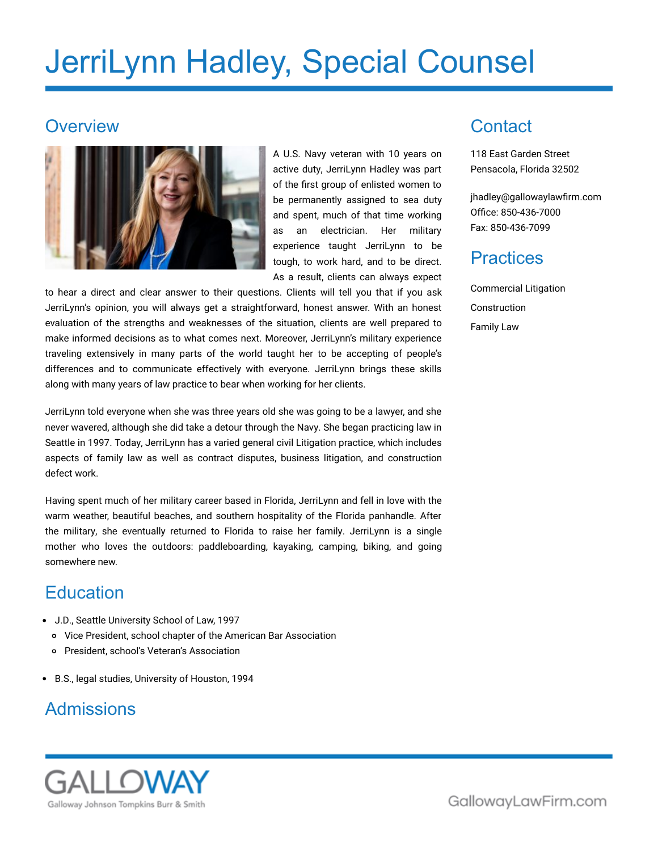# JerriLynn Hadley, Special Counsel

#### **Overview**



A U.S. Navy veteran with 10 years on active duty, JerriLynn Hadley was part of the first group of enlisted women to be permanently assigned to sea duty and spent, much of that time working as an electrician. Her military experience taught JerriLynn to be tough, to work hard, and to be direct. As a result, clients can always expect

to hear a direct and clear answer to their questions. Clients will tell you that if you ask JerriLynn's opinion, you will always get a straightforward, honest answer. With an honest evaluation of the strengths and weaknesses of the situation, clients are well prepared to make informed decisions as to what comes next. Moreover, JerriLynn's military experience traveling extensively in many parts of the world taught her to be accepting of people's differences and to communicate effectively with everyone. JerriLynn brings these skills along with many years of law practice to bear when working for her clients.

JerriLynn told everyone when she was three years old she was going to be a lawyer, and she never wavered, although she did take a detour through the Navy. She began practicing law in Seattle in 1997. Today, JerriLynn has a varied general civil Litigation practice, which includes aspects of family law as well as contract disputes, business litigation, and construction defect work.

Having spent much of her military career based in Florida, JerriLynn and fell in love with the warm weather, beautiful beaches, and southern hospitality of the Florida panhandle. After the military, she eventually returned to Florida to raise her family. JerriLynn is a single mother who loves the outdoors: paddleboarding, kayaking, camping, biking, and going somewhere new.

### **Education**

- J.D., Seattle University School of Law, 1997
	- Vice President, school chapter of the American Bar Association
	- President, school's Veteran's Association
- B.S., legal studies, University of Houston, 1994

### Admissions



**Contact** 

118 East Garden Street Pensacola, Florida 32502

[jhadley@gallowaylawfirm.com](mailto:jhadley@gallowaylawfirm.com) Office: 850-436-7000 Fax: 850-436-7099

### **Practices**

Commercial Litigation Construction Family Law

GallowayLawFirm.com